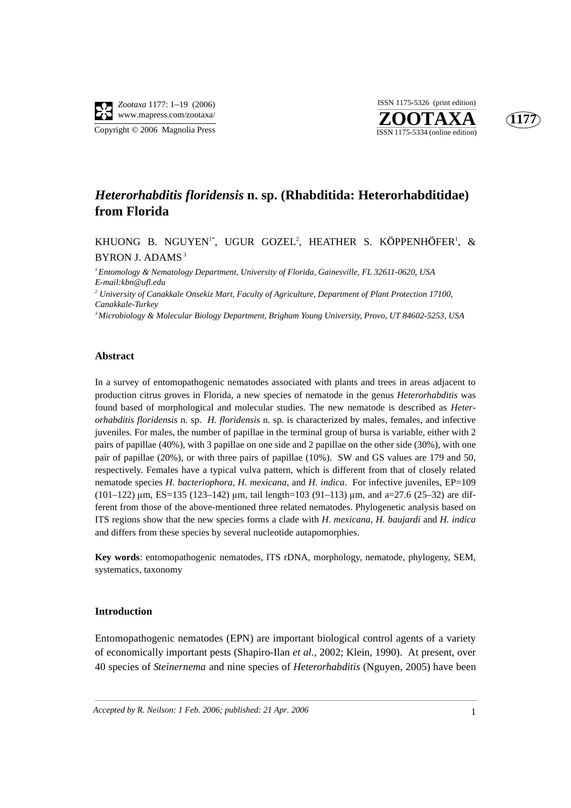

Copyright © 2006 Magnolia Press

### **ZOOTAXA**<br>ISSN 1175-5334 (online edition) ISSN 1175-5326 (print edition)



### *Heterorhabditis floridensis* **n. sp. (Rhabditida: Heterorhabditidae) from Florida**

KHUONG B. NGUYEN'\*, UGUR GOZEL<sup>2</sup>, HEATHER S. KÖPPENHÖFER<sup>1</sup>, &<br>PYPOLL 1.D1103 BYRON J. ADAMS<sup>3</sup>

*1 Entomology & Nematology Department, University of Florida, Gainesville, FL 32611-0620, USA E-mail:kbn@ufl.edu*

*2 University of Canakkale Onsekiz Mart, Faculty of Agriculture, Department of Plant Protection 17100, Canakkale-Turkey*

*3 Microbiology & Molecular Biology Department, Brigham Young University, Provo, UT 84602-5253, USA*

#### **Abstract**

In a survey of entomopathogenic nematodes associated with plants and trees in areas adjacent to production citrus groves in Florida, a new species of nematode in the genus *Heterorhabditis* was found based of morphological and molecular studies. The new nematode is described as *Heterorhabditis floridensis* n. sp. *H. floridensis* n. sp. is characterized by males, females, and infective juveniles. For males, the number of papillae in the terminal group of bursa is variable, either with 2 pairs of papillae (40%), with 3 papillae on one side and 2 papillae on the other side (30%), with one pair of papillae (20%), or with three pairs of papillae (10%). SW and GS values are 179 and 50, respectively. Females have a typical vulva pattern, which is different from that of closely related nematode species *H. bacteriophora*, *H. mexicana*, and *H. indica*. For infective juveniles, EP=109  $(101-122)$  µm, ES=135 (123-142) µm, tail length=103 (91-113) µm, and a=27.6 (25-32) are different from those of the above-mentioned three related nematodes. Phylogenetic analysis based on ITS regions show that the new species forms a clade with *H. mexicana*, *H. baujardi* and *H. indica* and differs from these species by several nucleotide autapomorphies.

**Key words**: entomopathogenic nematodes, ITS rDNA, morphology, nematode, phylogeny, SEM, systematics, taxonomy

#### **Introduction**

Entomopathogenic nematodes (EPN) are important biological control agents of a variety of economically important pests (Shapiro-Ilan *et al.*, 2002; Klein, 1990). At present, over 40 species of *Steinernema* and nine species of *Heterorhabditis* (Nguyen, 2005) have been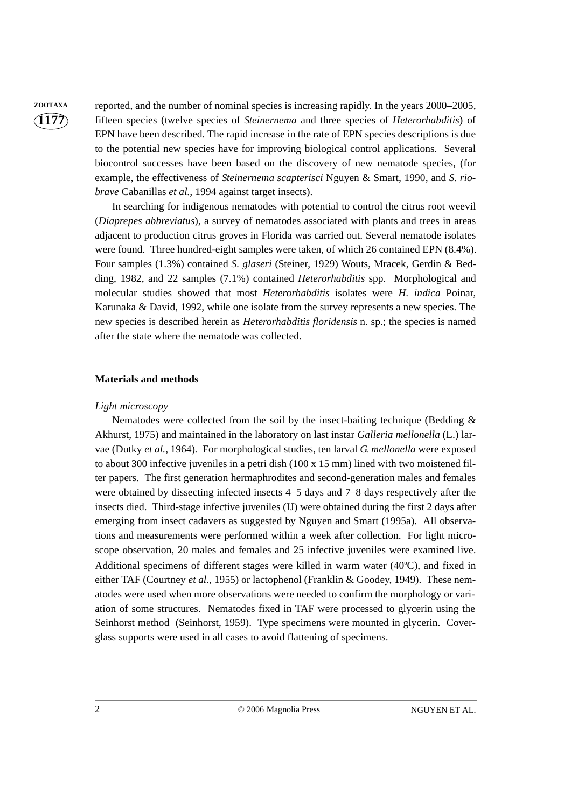**ZOOTAXA** reported, and the number of nominal species is increasing rapidly. In the years 2000–2005, fifteen species (twelve species of *Steinernema* and three species of *Heterorhabditis*) of EPN have been described. The rapid increase in the rate of EPN species descriptions is due to the potential new species have for improving biological control applications. Several biocontrol successes have been based on the discovery of new nematode species, (for example, the effectiveness of *Steinernema scapterisci* Nguyen & Smart, 1990, and *S. riobrave* Cabanillas *et al.,* 1994 against target insects).

> In searching for indigenous nematodes with potential to control the citrus root weevil (*Diaprepes abbreviatus*), a survey of nematodes associated with plants and trees in areas adjacent to production citrus groves in Florida was carried out. Several nematode isolates were found. Three hundred-eight samples were taken, of which 26 contained EPN (8.4%). Four samples (1.3%) contained *S. glaseri* (Steiner, 1929) Wouts, Mracek, Gerdin & Bedding, 1982, and 22 samples (7.1%) contained *Heterorhabditis* spp. Morphological and molecular studies showed that most *Heterorhabditis* isolates were *H. indica* Poinar, Karunaka & David, 1992, while one isolate from the survey represents a new species. The new species is described herein as *Heterorhabditis floridensis* n. sp.; the species is named after the state where the nematode was collected.

#### **Materials and methods**

#### *Light microscopy*

Nematodes were collected from the soil by the insect-baiting technique (Bedding  $\&$ Akhurst, 1975) and maintained in the laboratory on last instar *Galleria mellonella* (L.) larvae (Dutky *et al.,* 1964)*.* For morphological studies, ten larval *G. mellonella* were exposed to about 300 infective juveniles in a petri dish (100 x 15 mm) lined with two moistened filter papers. The first generation hermaphrodites and second-generation males and females were obtained by dissecting infected insects 4–5 days and 7–8 days respectively after the insects died. Third-stage infective juveniles (IJ) were obtained during the first 2 days after emerging from insect cadavers as suggested by Nguyen and Smart (1995a). All observations and measurements were performed within a week after collection. For light microscope observation, 20 males and females and 25 infective juveniles were examined live. Additional specimens of different stages were killed in warm water (40°C), and fixed in either TAF (Courtney et al., 1955) or lactophenol (Franklin & Goodey, 1949). These nematodes were used when more observations were needed to confirm the morphology or variation of some structures. Nematodes fixed in TAF were processed to glycerin using the Seinhorst method (Seinhorst, 1959). Type specimens were mounted in glycerin. Coverglass supports were used in all cases to avoid flattening of specimens.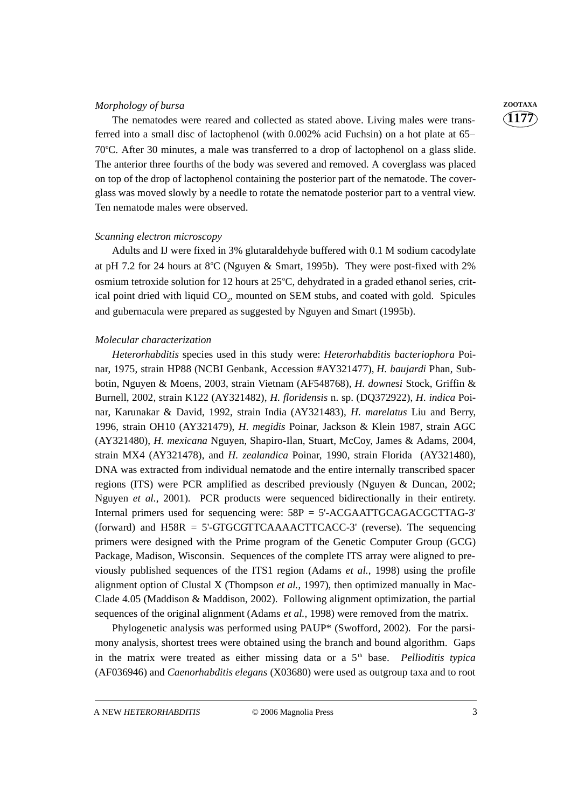#### *Morphology of bursa* **ZOOTAXA**

The nematodes were reared and collected as stated above. Living males were transferred into a small disc of lactophenol (with 0.002% acid Fuchsin) on a hot plate at 65– 70°C. After 30 minutes, a male was transferred to a drop of lactophenol on a glass slide. The anterior three fourths of the body was severed and removed. A coverglass was placed on top of the drop of lactophenol containing the posterior part of the nematode. The coverglass was moved slowly by a needle to rotate the nematode posterior part to a ventral view. Ten nematode males were observed.

#### *Scanning electron microscopy*

Adults and IJ were fixed in 3% glutaraldehyde buffered with 0.1 M sodium cacodylate at pH 7.2 for 24 hours at  $8^{\circ}$ C (Nguyen & Smart, 1995b). They were post-fixed with 2% osmium tetroxide solution for 12 hours at 25°C, dehydrated in a graded ethanol series, critical point dried with liquid CO<sub>2</sub>, mounted on SEM stubs, and coated with gold. Spicules and gubernacula were prepared as suggested by Nguyen and Smart (1995b).

#### *Molecular characterization*

*Heterorhabditis* species used in this study were: *Heterorhabditis bacteriophora* Poinar, 1975, strain HP88 (NCBI Genbank, Accession #AY321477), *H. baujardi* Phan, Subbotin, Nguyen & Moens, 2003, strain Vietnam (AF548768), *H. downesi* Stock, Griffin & Burnell, 2002, strain K122 (AY321482), *H. floridensis* n. sp. (DQ372922), *H. indica* Poinar, Karunakar & David, 1992, strain India (AY321483), *H. marelatus* Liu and Berry, 1996, strain OH10 (AY321479), *H. megidis* Poinar, Jackson & Klein 1987, strain AGC (AY321480), *H. mexicana* Nguyen, Shapiro-Ilan, Stuart, McCoy, James & Adams, 2004, strain MX4 (AY321478), and *H. zealandica* Poinar, 1990, strain Florida (AY321480), DNA was extracted from individual nematode and the entire internally transcribed spacer regions (ITS) were PCR amplified as described previously (Nguyen & Duncan, 2002; Nguyen *et al.*, 2001). PCR products were sequenced bidirectionally in their entirety. Internal primers used for sequencing were: 58P = 5'-ACGAATTGCAGACGCTTAG-3' (forward) and H58R = 5'-GTGCGTTCAAAACTTCACC-3' (reverse). The sequencing primers were designed with the Prime program of the Genetic Computer Group (GCG) Package, Madison, Wisconsin. Sequences of the complete ITS array were aligned to previously published sequences of the ITS1 region (Adams *et al.*, 1998) using the profile alignment option of Clustal X (Thompson *et al.*, 1997), then optimized manually in Mac-Clade 4.05 (Maddison & Maddison, 2002). Following alignment optimization, the partial sequences of the original alignment (Adams *et al.*, 1998) were removed from the matrix.

Phylogenetic analysis was performed using PAUP\* (Swofford, 2002). For the parsimony analysis, shortest trees were obtained using the branch and bound algorithm. Gaps in the matrix were treated as either missing data or a 5<sup>th</sup> base. *Pellioditis typica* (AF036946) and *Caenorhabditis elegans* (X03680) were used as outgroup taxa and to root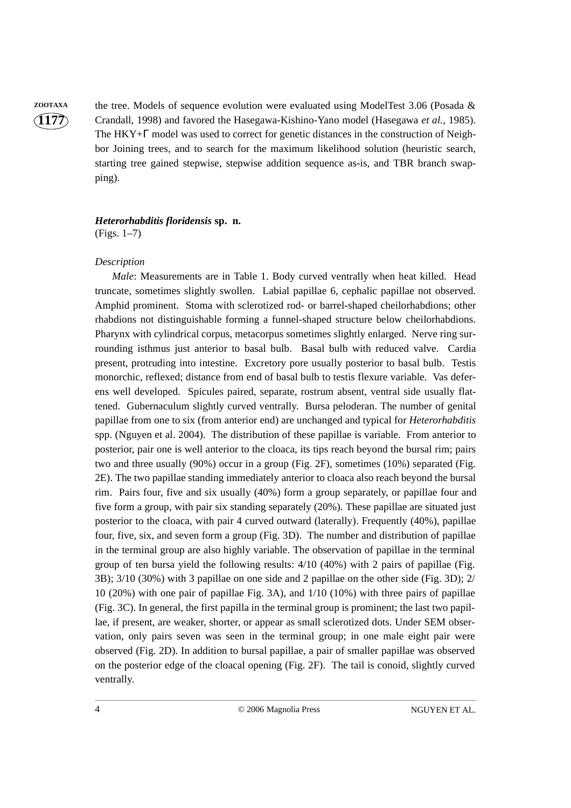**ZOOTAXA** the tree. Models of sequence evolution were evaluated using ModelTest 3.06 (Posada & Crandall, 1998) and favored the Hasegawa-Kishino-Yano model (Hasegawa *et al.*, 1985). The HKY+Γ model was used to correct for genetic distances in the construction of Neighbor Joining trees, and to search for the maximum likelihood solution (heuristic search, starting tree gained stepwise, stepwise addition sequence as-is, and TBR branch swapping).

#### *Heterorhabditis floridensis* **sp. n.**  (Figs. 1–7)

#### *Description*

*Male*: Measurements are in Table 1. Body curved ventrally when heat killed. Head truncate, sometimes slightly swollen. Labial papillae 6, cephalic papillae not observed. Amphid prominent. Stoma with sclerotized rod- or barrel-shaped cheilorhabdions; other rhabdions not distinguishable forming a funnel-shaped structure below cheilorhabdions. Pharynx with cylindrical corpus, metacorpus sometimes slightly enlarged. Nerve ring surrounding isthmus just anterior to basal bulb. Basal bulb with reduced valve. Cardia present, protruding into intestine. Excretory pore usually posterior to basal bulb. Testis monorchic, reflexed; distance from end of basal bulb to testis flexure variable. Vas deferens well developed. Spicules paired, separate, rostrum absent, ventral side usually flattened. Gubernaculum slightly curved ventrally. Bursa peloderan. The number of genital papillae from one to six (from anterior end) are unchanged and typical for *Heterorhabditis* spp. (Nguyen et al. 2004). The distribution of these papillae is variable. From anterior to posterior, pair one is well anterior to the cloaca, its tips reach beyond the bursal rim; pairs two and three usually (90%) occur in a group (Fig. 2F), sometimes (10%) separated (Fig. 2E). The two papillae standing immediately anterior to cloaca also reach beyond the bursal rim. Pairs four, five and six usually (40%) form a group separately, or papillae four and five form a group, with pair six standing separately (20%). These papillae are situated just posterior to the cloaca, with pair 4 curved outward (laterally). Frequently (40%), papillae four, five, six, and seven form a group (Fig. 3D). The number and distribution of papillae in the terminal group are also highly variable. The observation of papillae in the terminal group of ten bursa yield the following results:  $4/10$  (40%) with 2 pairs of papillae (Fig. 3B); 3/10 (30%) with 3 papillae on one side and 2 papillae on the other side (Fig. 3D); 2/ 10 (20%) with one pair of papillae Fig. 3A), and 1/10 (10%) with three pairs of papillae (Fig. 3C). In general, the first papilla in the terminal group is prominent; the last two papillae, if present, are weaker, shorter, or appear as small sclerotized dots. Under SEM observation, only pairs seven was seen in the terminal group; in one male eight pair were observed (Fig. 2D). In addition to bursal papillae, a pair of smaller papillae was observed on the posterior edge of the cloacal opening (Fig. 2F). The tail is conoid, slightly curved ventrally.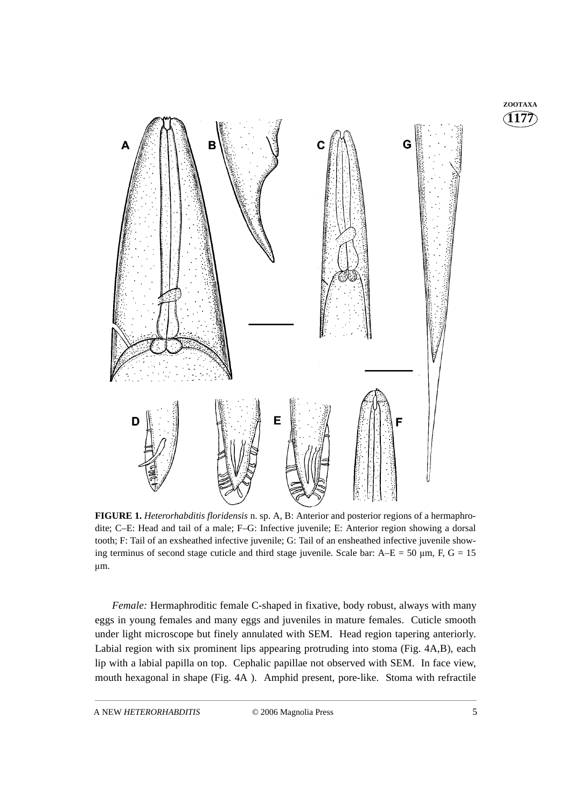

**FIGURE 1.** *Heterorhabditis floridensis* n. sp. A, B: Anterior and posterior regions of a hermaphrodite; C–E: Head and tail of a male; F–G: Infective juvenile; E: Anterior region showing a dorsal tooth; F: Tail of an exsheathed infective juvenile; G: Tail of an ensheathed infective juvenile showing terminus of second stage cuticle and third stage juvenile. Scale bar:  $A$ –E = 50 µm, F, G = 15 μm.

*Female:* Hermaphroditic female C-shaped in fixative, body robust, always with many eggs in young females and many eggs and juveniles in mature females. Cuticle smooth under light microscope but finely annulated with SEM. Head region tapering anteriorly. Labial region with six prominent lips appearing protruding into stoma (Fig. 4A,B), each lip with a labial papilla on top. Cephalic papillae not observed with SEM. In face view, mouth hexagonal in shape (Fig. 4A ). Amphid present, pore-like. Stoma with refractile

**1177 ZOOTAXA**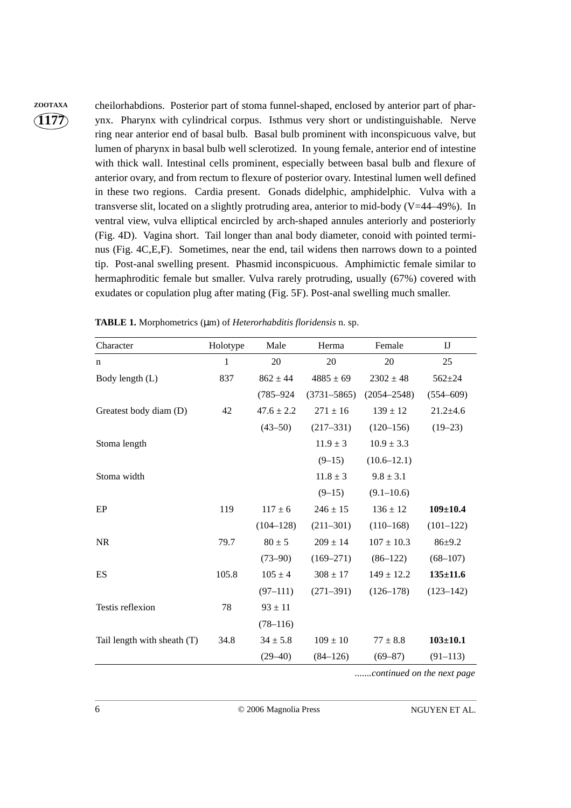**ZOOTAXA** cheilorhabdions. Posterior part of stoma funnel-shaped, enclosed by anterior part of pharynx. Pharynx with cylindrical corpus. Isthmus very short or undistinguishable. Nerve ring near anterior end of basal bulb. Basal bulb prominent with inconspicuous valve, but lumen of pharynx in basal bulb well sclerotized. In young female, anterior end of intestine with thick wall. Intestinal cells prominent, especially between basal bulb and flexure of anterior ovary, and from rectum to flexure of posterior ovary. Intestinal lumen well defined in these two regions. Cardia present. Gonads didelphic, amphidelphic. Vulva with a transverse slit, located on a slightly protruding area, anterior to mid-body (V=44–49%). In ventral view, vulva elliptical encircled by arch-shaped annules anteriorly and posteriorly (Fig. 4D). Vagina short. Tail longer than anal body diameter, conoid with pointed terminus (Fig. 4C,E,F). Sometimes, near the end, tail widens then narrows down to a pointed tip. Post-anal swelling present. Phasmid inconspicuous. Amphimictic female similar to hermaphroditic female but smaller. Vulva rarely protruding, usually (67%) covered with exudates or copulation plug after mating (Fig. 5F). Post-anal swelling much smaller.

| Character                   | Holotype | Male           | Herma           | Female          | IJ             |
|-----------------------------|----------|----------------|-----------------|-----------------|----------------|
| n                           | 1        | 20             | 20              | 20              | 25             |
| Body length (L)             | 837      | $862 \pm 44$   | $4885 \pm 69$   | $2302 \pm 48$   | $562 + 24$     |
|                             |          | $(785 - 924)$  | $(3731 - 5865)$ | $(2054 - 2548)$ | $(554 - 609)$  |
| Greatest body diam (D)      | 42       | $47.6 \pm 2.2$ | $271 \pm 16$    | $139 \pm 12$    | $21.2 \pm 4.6$ |
|                             |          | $(43 - 50)$    | $(217 - 331)$   | $(120 - 156)$   | $(19 - 23)$    |
| Stoma length                |          |                | $11.9 \pm 3$    | $10.9 \pm 3.3$  |                |
|                             |          |                | $(9-15)$        | $(10.6 - 12.1)$ |                |
| Stoma width                 |          |                | $11.8 \pm 3$    | $9.8 \pm 3.1$   |                |
|                             |          |                | $(9-15)$        | $(9.1 - 10.6)$  |                |
| EP                          | 119      | $117 \pm 6$    | $246 \pm 15$    | $136 \pm 12$    | $109 \pm 10.4$ |
|                             |          | $(104 - 128)$  | $(211 - 301)$   | $(110-168)$     | $(101-122)$    |
| <b>NR</b>                   | 79.7     | $80 \pm 5$     | $209 \pm 14$    | $107 \pm 10.3$  | $86 + 9.2$     |
|                             |          | $(73 - 90)$    | $(169 - 271)$   | $(86-122)$      | $(68-107)$     |
| ES                          | 105.8    | $105 \pm 4$    | $308 \pm 17$    | $149 \pm 12.2$  | $135 \pm 11.6$ |
|                             |          | $(97-111)$     | $(271 - 391)$   | $(126 - 178)$   | $(123 - 142)$  |
| Testis reflexion            | 78       | $93 \pm 11$    |                 |                 |                |
|                             |          | $(78 - 116)$   |                 |                 |                |
| Tail length with sheath (T) | 34.8     | $34 \pm 5.8$   | $109 \pm 10$    | $77 \pm 8.8$    | $103 + 10.1$   |
|                             |          | $(29 - 40)$    | $(84 - 126)$    | $(69 - 87)$     | $(91 - 113)$   |

**TABLE 1.** Morphometrics (µm) of *Heterorhabditis floridensis* n. sp.

*.......continued on the next page*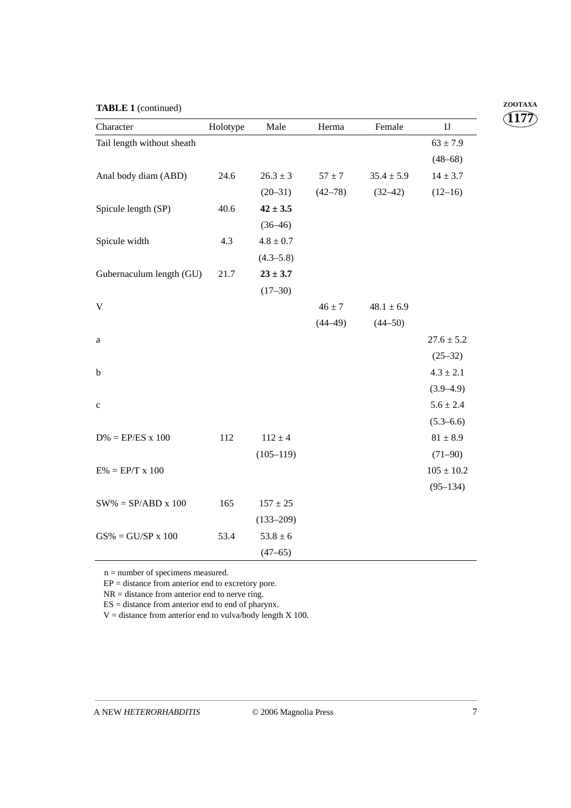|  | <b>TABLE 1</b> (continued) |
|--|----------------------------|
|--|----------------------------|

| Character                  | Holotype | Male          | Herma       | Female         | $\mathbf{I}\mathbf{J}$ |
|----------------------------|----------|---------------|-------------|----------------|------------------------|
| Tail length without sheath |          |               |             |                | $63 \pm 7.9$           |
|                            |          |               |             |                | $(48 - 68)$            |
| Anal body diam (ABD)       | 24.6     | $26.3 \pm 3$  | $57 \pm 7$  | $35.4 \pm 5.9$ | $14 \pm 3.7$           |
|                            |          | $(20-31)$     | $(42 - 78)$ | $(32-42)$      | $(12-16)$              |
| Spicule length (SP)        | 40.6     | $42 \pm 3.5$  |             |                |                        |
|                            |          | $(36-46)$     |             |                |                        |
| Spicule width              | 4.3      | $4.8 \pm 0.7$ |             |                |                        |
|                            |          | $(4.3 - 5.8)$ |             |                |                        |
| Gubernaculum length (GU)   | 21.7     | $23 \pm 3.7$  |             |                |                        |
|                            |          | $(17 - 30)$   |             |                |                        |
| V                          |          |               | $46 \pm 7$  | $48.1 \pm 6.9$ |                        |
|                            |          |               | $(44 - 49)$ | $(44 - 50)$    |                        |
| a                          |          |               |             |                | $27.6 \pm 5.2$         |
|                            |          |               |             |                | $(25-32)$              |
| b                          |          |               |             |                | $4.3 \pm 2.1$          |
|                            |          |               |             |                | $(3.9 - 4.9)$          |
| $\mathbf c$                |          |               |             |                | $5.6 \pm 2.4$          |
|                            |          |               |             |                | $(5.3 - 6.6)$          |
| $D\% = EP/ES \times 100$   | 112      | $112 \pm 4$   |             |                | $81 \pm 8.9$           |
|                            |          | $(105 - 119)$ |             |                | $(71-90)$              |
| $E% = EP/T \times 100$     |          |               |             |                | $105 \pm 10.2$         |
|                            |          |               |             |                | $(95 - 134)$           |
| $SW\% = SP/ABD \times 100$ | 165      | $157 \pm 25$  |             |                |                        |
|                            |          | $(133 - 209)$ |             |                |                        |
| $GS\% = GU/SP \times 100$  | 53.4     | $53.8 \pm 6$  |             |                |                        |
|                            |          | $(47 - 65)$   |             |                |                        |

n = number of specimens measured.

 $EP = distance from anterior end to excretory pore.$ 

 $NR = distance from anterior end to nerve ring.$ 

 $ES = distance from anterior end to end of pharynx.$ 

 $V =$  distance from anterior end to vulva/body length X 100.

**1177 ZOOTAXA**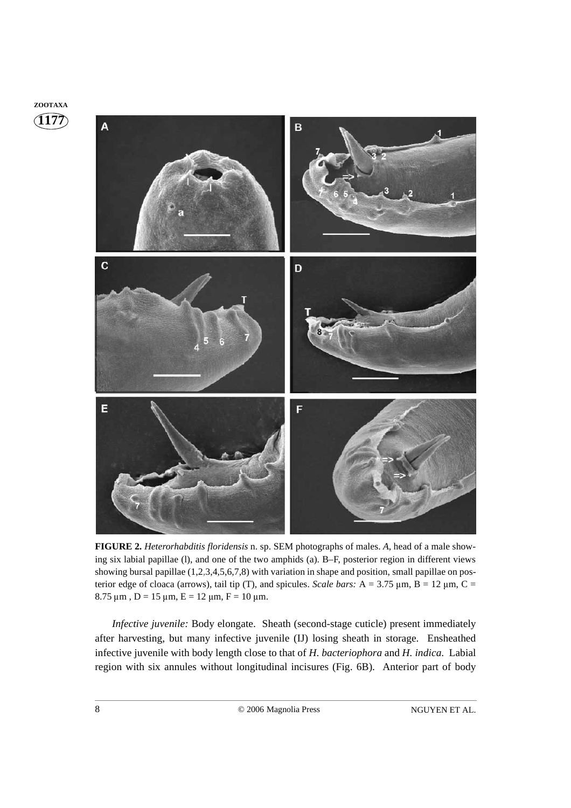

**FIGURE 2.** *Heterorhabditis floridensis* n. sp. SEM photographs of males. *A*, head of a male showing six labial papillae (l), and one of the two amphids (a). B–F, posterior region in different views showing bursal papillae (1,2,3,4,5,6,7,8) with variation in shape and position, small papillae on posterior edge of cloaca (arrows), tail tip (T), and spicules. *Scale bars:*  $A = 3.75 \mu m$ ,  $B = 12 \mu m$ ,  $C =$ 8.75  $\mu$ m, D = 15  $\mu$ m, E = 12  $\mu$ m, F = 10  $\mu$ m.

*Infective juvenile:* Body elongate. Sheath (second-stage cuticle) present immediately after harvesting, but many infective juvenile (IJ) losing sheath in storage. Ensheathed infective juvenile with body length close to that of *H*. *bacteriophora* and *H. indica*. Labial region with six annules without longitudinal incisures (Fig. 6B). Anterior part of body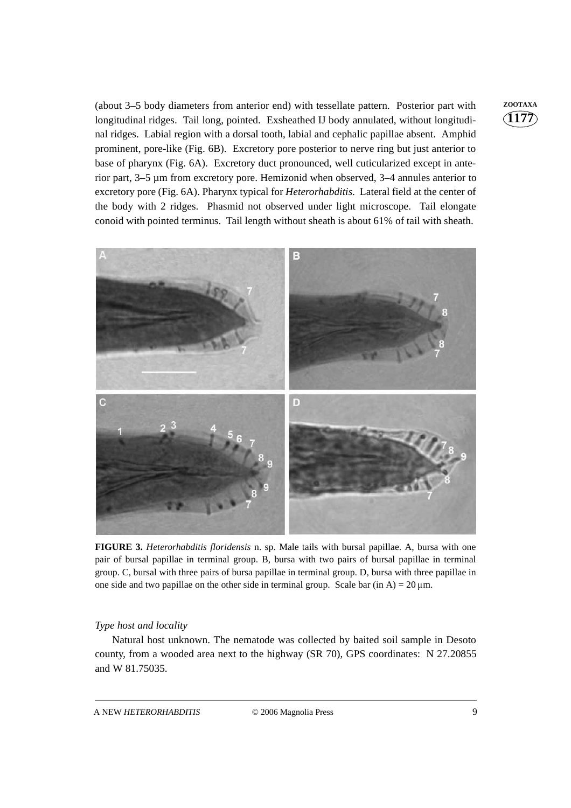(about 3–5 body diameters from anterior end) with tessellate pattern. Posterior part with **ZOOTAXA** longitudinal ridges. Tail long, pointed. Exsheathed IJ body annulated, without longitudinal ridges. Labial region with a dorsal tooth, labial and cephalic papillae absent. Amphid prominent, pore-like (Fig. 6B). Excretory pore posterior to nerve ring but just anterior to base of pharynx (Fig. 6A). Excretory duct pronounced, well cuticularized except in anterior part, 3–5 µm from excretory pore. Hemizonid when observed, 3–4 annules anterior to excretory pore (Fig. 6A). Pharynx typical for *Heterorhabditis*. Lateral field at the center of the body with 2 ridges. Phasmid not observed under light microscope. Tail elongate conoid with pointed terminus. Tail length without sheath is about 61% of tail with sheath.



**FIGURE 3.** *Heterorhabditis floridensis* n. sp. Male tails with bursal papillae. A, bursa with one pair of bursal papillae in terminal group. B, bursa with two pairs of bursal papillae in terminal group. C, bursal with three pairs of bursa papillae in terminal group. D, bursa with three papillae in one side and two papillae on the other side in terminal group. Scale bar (in A) = 20  $\mu$ m.

#### *Type host and locality*

Natural host unknown. The nematode was collected by baited soil sample in Desoto county, from a wooded area next to the highway (SR 70), GPS coordinates: N 27.20855 and W 81.75035.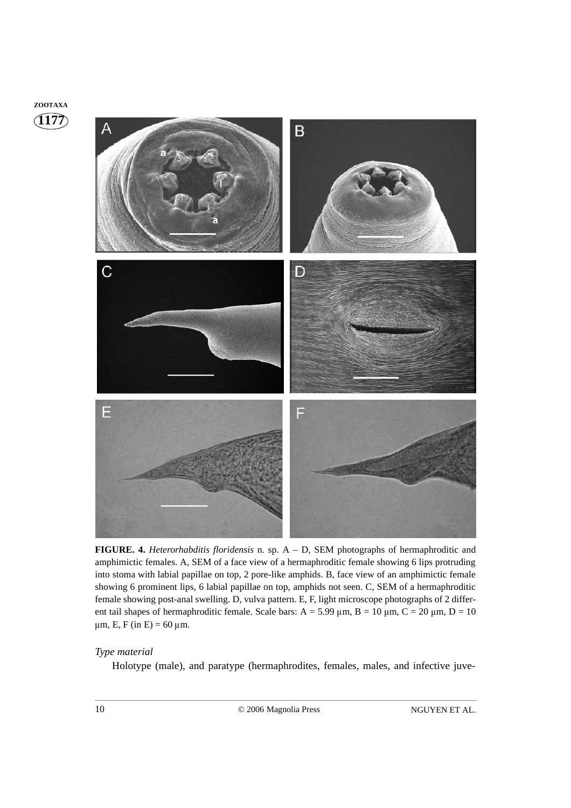### **1177 ZOOTAXA**



**FIGURE. 4.** *Heterorhabditis floridensis* n. sp. A – D, SEM photographs of hermaphroditic and amphimictic females. A, SEM of a face view of a hermaphroditic female showing 6 lips protruding into stoma with labial papillae on top, 2 pore-like amphids. B, face view of an amphimictic female showing 6 prominent lips, 6 labial papillae on top, amphids not seen. C, SEM of a hermaphroditic female showing post-anal swelling. D, vulva pattern. E, F, light microscope photographs of 2 different tail shapes of hermaphroditic female. Scale bars:  $A = 5.99 \mu m$ ,  $B = 10 \mu m$ ,  $C = 20 \mu m$ ,  $D = 10$  $\mu$ m, E, F (in E) = 60  $\mu$ m.

#### *Type material*

Holotype (male), and paratype (hermaphrodites, females, males, and infective juve-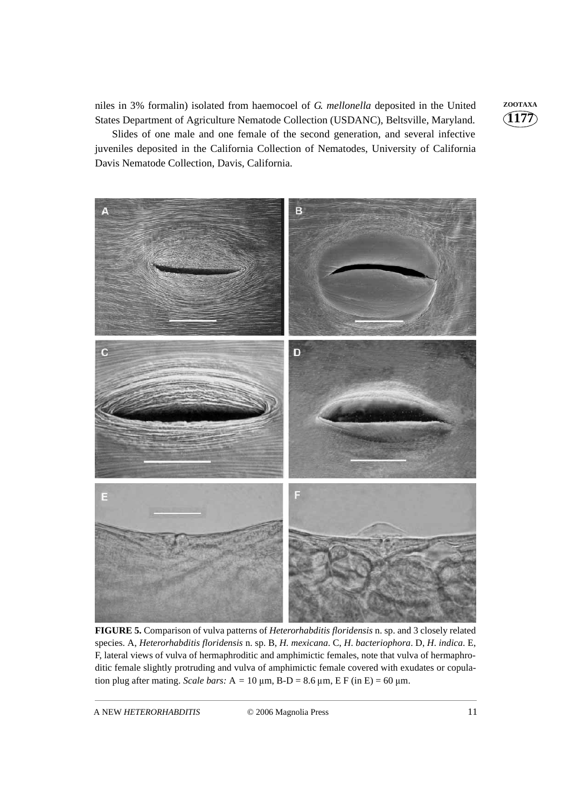niles in 3% formalin) isolated from haemocoel of *G*. *mellonella* deposited in the United **ZOOTAXA** States Department of Agriculture Nematode Collection (USDANC), Beltsville, Maryland.

Slides of one male and one female of the second generation, and several infective juveniles deposited in the California Collection of Nematodes, University of California Davis Nematode Collection, Davis, California.



**FIGURE 5.** Comparison of vulva patterns of *Heterorhabditis floridensis* n. sp. and 3 closely related species. A, *Heterorhabditis floridensis* n. sp. B, *H. mexicana*. C, *H*. *bacteriophora*. D, *H*. *indica*. E, F, lateral views of vulva of hermaphroditic and amphimictic females, note that vulva of hermaphroditic female slightly protruding and vulva of amphimictic female covered with exudates or copulation plug after mating. *Scale bars*:  $A = 10 \mu m$ ,  $B-D = 8.6 \mu m$ ,  $E F (in E) = 60 \mu m$ .

A NEW *HETERORHABDITIS* © 2006 Magnolia Press 11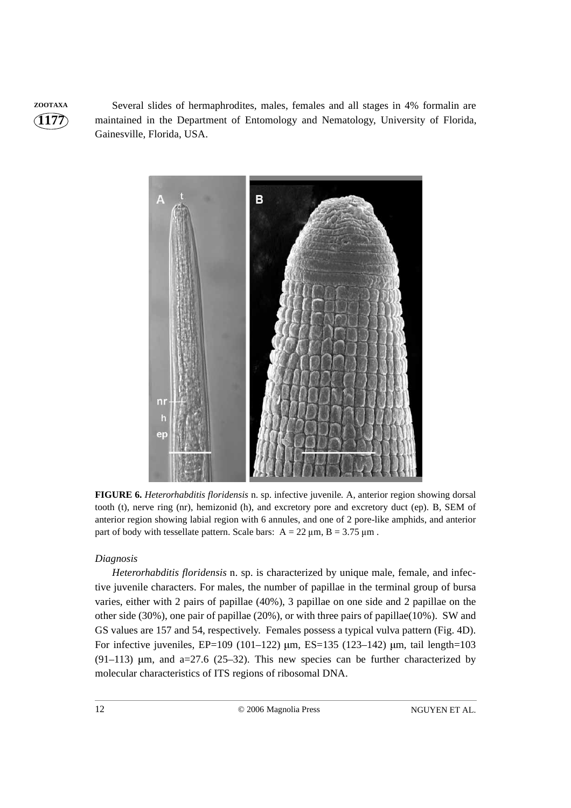**ZOOTAXA** Several slides of hermaphrodites, males, females and all stages in 4% formalin are maintained in the Department of Entomology and Nematology, University of Florida, Gainesville, Florida, USA.



**FIGURE 6.** *Heterorhabditis floridensis* n. sp. infective juvenile*.* A, anterior region showing dorsal tooth (t), nerve ring (nr), hemizonid (h), and excretory pore and excretory duct (ep). B, SEM of anterior region showing labial region with 6 annules, and one of 2 pore-like amphids, and anterior part of body with tessellate pattern. Scale bars:  $A = 22 \mu m$ ,  $B = 3.75 \mu m$ .

#### *Diagnosis*

*Heterorhabditis floridensis* n. sp. is characterized by unique male, female, and infective juvenile characters. For males, the number of papillae in the terminal group of bursa varies, either with 2 pairs of papillae (40%), 3 papillae on one side and 2 papillae on the other side (30%), one pair of papillae (20%), or with three pairs of papillae(10%). SW and GS values are 157 and 54, respectively. Females possess a typical vulva pattern (Fig. 4D). For infective juveniles, EP=109 (101-122)  $\mu$ m, ES=135 (123-142)  $\mu$ m, tail length=103  $(91-113)$  µm, and a=27.6 (25–32). This new species can be further characterized by molecular characteristics of ITS regions of ribosomal DNA.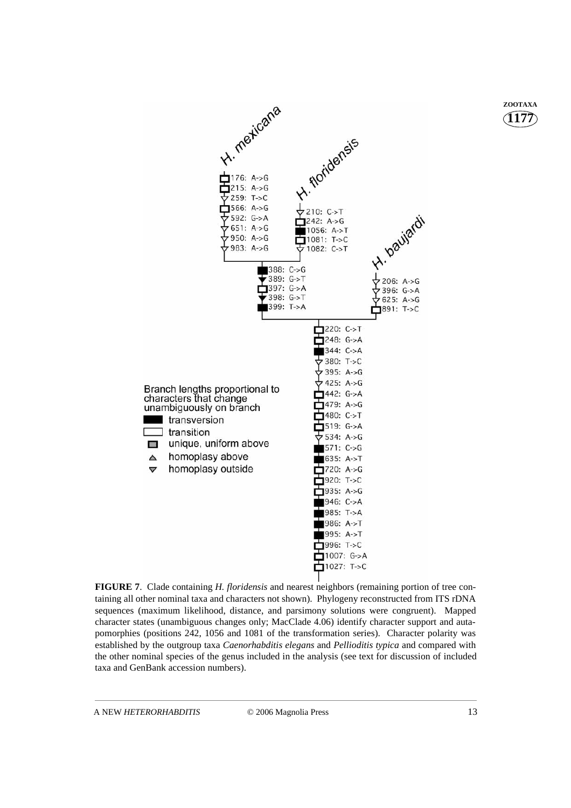

**FIGURE 7**. Clade containing *H. floridensis* and nearest neighbors (remaining portion of tree containing all other nominal taxa and characters not shown). Phylogeny reconstructed from ITS rDNA sequences (maximum likelihood, distance, and parsimony solutions were congruent). Mapped character states (unambiguous changes only; MacClade 4.06) identify character support and autapomorphies (positions 242, 1056 and 1081 of the transformation series). Character polarity was established by the outgroup taxa *Caenorhabditis elegans* and *Pellioditis typica* and compared with the other nominal species of the genus included in the analysis (see text for discussion of included taxa and GenBank accession numbers).

**1177 ZOOTAXA**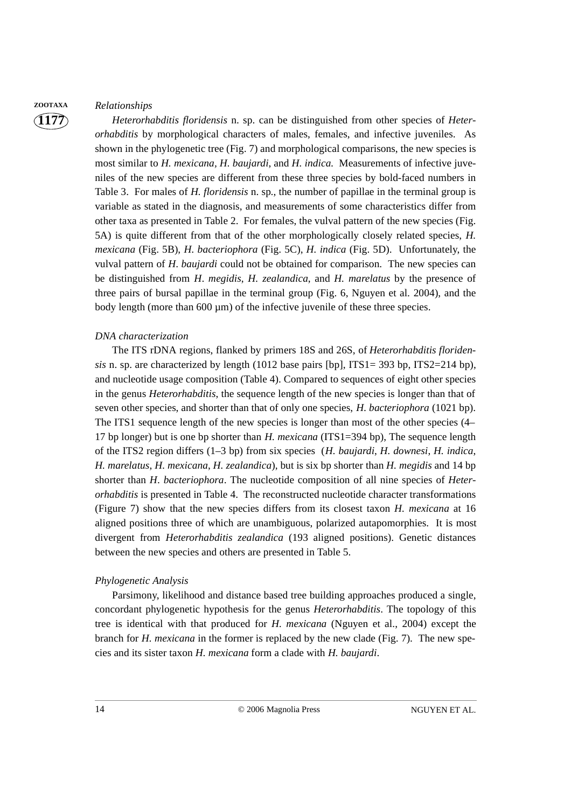#### **ZOOTAXA** *Relationships*

**1177**

*Heterorhabditis floridensis* n. sp. can be distinguished from other species of *Heterorhabditis* by morphological characters of males, females, and infective juveniles. As shown in the phylogenetic tree (Fig. 7) and morphological comparisons, the new species is most similar to *H. mexicana, H. baujardi*, and *H. indica.* Measurements of infective juveniles of the new species are different from these three species by bold-faced numbers in Table 3. For males of *H. floridensis* n. sp*.*, the number of papillae in the terminal group is variable as stated in the diagnosis, and measurements of some characteristics differ from other taxa as presented in Table 2. For females, the vulval pattern of the new species (Fig. 5A) is quite different from that of the other morphologically closely related species, *H. mexicana* (Fig. 5B), *H. bacteriophora* (Fig. 5C), *H. indica* (Fig. 5D). Unfortunately, the vulval pattern of *H*. *baujardi* could not be obtained for comparison. The new species can be distinguished from *H*. *megidis*, *H. zealandica*, and *H. marelatus* by the presence of three pairs of bursal papillae in the terminal group (Fig. 6, Nguyen et al. 2004), and the body length (more than  $600 \mu m$ ) of the infective juvenile of these three species.

#### *DNA characterization*

The ITS rDNA regions, flanked by primers 18S and 26S, of *Heterorhabditis floridensis* n. sp. are characterized by length (1012 base pairs [bp],  $ITS1 = 393$  bp,  $ITS2 = 214$  bp), and nucleotide usage composition (Table 4). Compared to sequences of eight other species in the genus *Heterorhabditis*, the sequence length of the new species is longer than that of seven other species, and shorter than that of only one species, *H. bacteriophora* (1021 bp). The ITS1 sequence length of the new species is longer than most of the other species (4– 17 bp longer) but is one bp shorter than *H. mexicana* (ITS1=394 bp), The sequence length of the ITS2 region differs (1–3 bp) from six species (*H. baujardi*, *H. downesi*, *H. indica*, *H. marelatus*, *H. mexicana*, *H. zealandica*), but is six bp shorter than *H. megidis* and 14 bp shorter than *H*. *bacteriophora*. The nucleotide composition of all nine species of *Heterorhabditis* is presented in Table 4. The reconstructed nucleotide character transformations (Figure 7) show that the new species differs from its closest taxon *H. mexicana* at 16 aligned positions three of which are unambiguous, polarized autapomorphies. It is most divergent from *Heterorhabditis zealandica* (193 aligned positions). Genetic distances between the new species and others are presented in Table 5.

#### *Phylogenetic Analysis*

Parsimony, likelihood and distance based tree building approaches produced a single, concordant phylogenetic hypothesis for the genus *Heterorhabditis*. The topology of this tree is identical with that produced for *H. mexicana* (Nguyen et al., 2004) except the branch for *H. mexicana* in the former is replaced by the new clade (Fig. 7). The new species and its sister taxon *H. mexicana* form a clade with *H. baujardi*.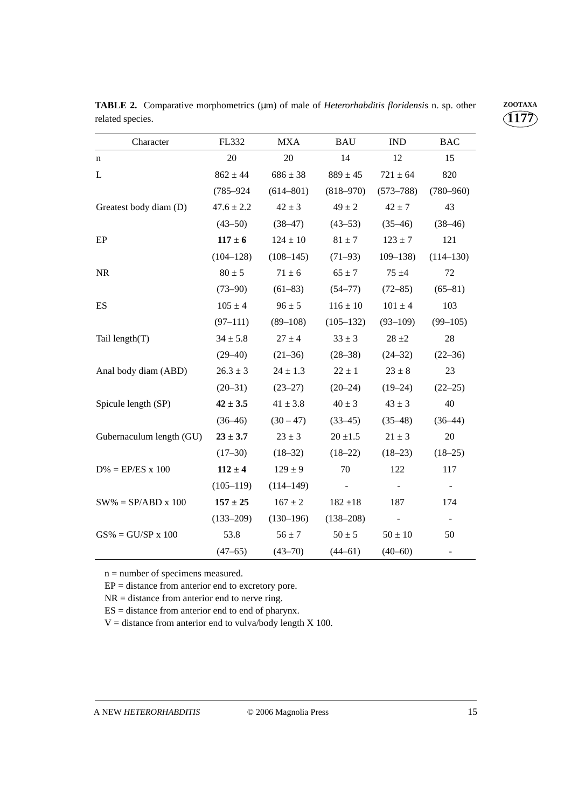| Character                  | FL332          | <b>MXA</b>    | <b>BAU</b>               | <b>IND</b>     | <b>BAC</b>               |
|----------------------------|----------------|---------------|--------------------------|----------------|--------------------------|
| n                          | 20             | 20            | 14                       | 12             | 15                       |
| L                          | $862 \pm 44$   | $686 \pm 38$  | $889 \pm 45$             | $721 \pm 64$   | 820                      |
|                            | $(785 - 924)$  | $(614 - 801)$ | $(818 - 970)$            | $(573 - 788)$  | $(780 - 960)$            |
| Greatest body diam (D)     | $47.6 \pm 2.2$ | $42 \pm 3$    | $49 \pm 2$               | $42 \pm 7$     | 43                       |
|                            | $(43 - 50)$    | $(38-47)$     | $(43 - 53)$              | $(35-46)$      | $(38-46)$                |
| $\rm EP$                   | $117 \pm 6$    | $124 \pm 10$  | $81 \pm 7$               | $123\pm7$      | 121                      |
|                            | $(104 - 128)$  | $(108-145)$   | $(71-93)$                | $109 - 138$    | $(114 - 130)$            |
| $\rm NR$                   | $80 \pm 5$     | $71 \pm 6$    | $65 \pm 7$               | $75 + 4$       | 72                       |
|                            | $(73 - 90)$    | $(61 - 83)$   | $(54 - 77)$              | $(72 - 85)$    | $(65 - 81)$              |
| ES                         | $105\pm4$      | $96 \pm 5$    | $116 \pm 10$             | $101\pm4$      | 103                      |
|                            | $(97-111)$     | $(89 - 108)$  | $(105-132)$              | $(93-109)$     | $(99 - 105)$             |
| Tail length(T)             | $34 \pm 5.8$   | $27 \pm 4$    | $33 \pm 3$               | $28 \pm 2$     | 28                       |
|                            | $(29 - 40)$    | $(21-36)$     | $(28-38)$                | $(24-32)$      | $(22 - 36)$              |
| Anal body diam (ABD)       | $26.3 \pm 3$   | $24 \pm 1.3$  | $22 \pm 1$               | $23 \pm 8$     | 23                       |
|                            | $(20-31)$      | $(23-27)$     | $(20-24)$                | $(19-24)$      | $(22 - 25)$              |
| Spicule length (SP)        | $42 \pm 3.5$   | $41 \pm 3.8$  | $40 \pm 3$               | $43 \pm 3$     | 40                       |
|                            | $(36-46)$      | $(30-47)$     | $(33-45)$                | $(35-48)$      | $(36-44)$                |
| Gubernaculum length (GU)   | $23 \pm 3.7$   | $23 \pm 3$    | $20 \pm 1.5$             | $21 \pm 3$     | $20\,$                   |
|                            | $(17-30)$      | $(18-32)$     | $(18-22)$                | $(18-23)$      | $(18-25)$                |
| $D\% = EP/ES \times 100$   | $112 \pm 4$    | $129 \pm 9$   | 70                       | 122            | 117                      |
|                            | $(105-119)$    | $(114 - 149)$ | $\overline{\phantom{a}}$ | $\blacksquare$ | $\equiv$                 |
| $SW\% = SP/ABD \times 100$ | $157 \pm 25$   | $167 \pm 2$   | $182 + 18$               | 187            | 174                      |
|                            | $(133 - 209)$  | $(130-196)$   | $(138 - 208)$            |                | $\overline{\phantom{a}}$ |
| $GS\% = GU/SP \times 100$  | 53.8           | $56 \pm 7$    | $50 \pm 5$               | $50 \pm 10$    | 50                       |
|                            | $(47 - 65)$    | $(43 - 70)$   | $(44 - 61)$              | $(40 - 60)$    | $\overline{\phantom{a}}$ |

**TABLE 2.** Comparative morphometrics (µm) of male of *Heterorhabditis floridensis* n. sp. other **ZOOTAXA** related species.

n = number of specimens measured.

 $EP = distance from anterior end to excretory pore.$ 

NR = distance from anterior end to nerve ring.

ES = distance from anterior end to end of pharynx.

 $V =$  distance from anterior end to vulva/body length  $X$  100.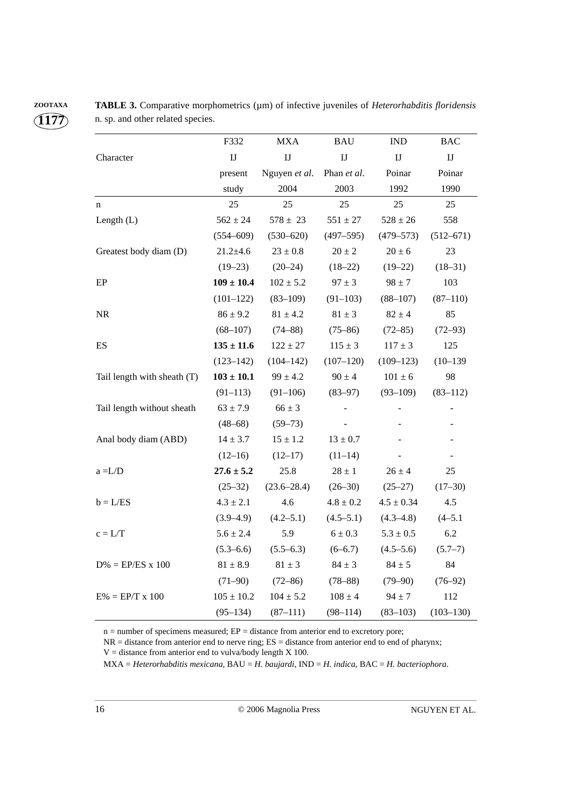|                             | F332                   | <b>MXA</b>      | <b>BAU</b>             | $\mathop{\rm IND}\nolimits$ | <b>BAC</b>               |
|-----------------------------|------------------------|-----------------|------------------------|-----------------------------|--------------------------|
| Character                   | $\mathbf{I}\mathbf{J}$ | I               | $\mathbf{I}\mathbf{J}$ | $\mathbf{I}\mathbf{J}$      | $\mathbf{I}\mathbf{J}$   |
|                             | present                | Nguyen et al.   | Phan et al.            | Poinar                      | Poinar                   |
|                             | study                  | 2004            | 2003                   | 1992                        | 1990                     |
| n                           | 25                     | 25              | 25                     | 25                          | 25                       |
| Length $(L)$                | $562 \pm 24$           | $578 \pm 23$    | $551\pm27$             | $528\pm26$                  | 558                      |
|                             | $(554 - 609)$          | $(530 - 620)$   | $(497 - 595)$          | $(479 - 573)$               | $(512 - 671)$            |
| Greatest body diam (D)      | $21.2 + 4.6$           | $23 \pm 0.8$    | $20 \pm 2$             | $20 \pm 6$                  | 23                       |
|                             | $(19-23)$              | $(20-24)$       | $(18-22)$              | $(19-22)$                   | $(18-31)$                |
| EP                          | $109 \pm 10.4$         | $102 \pm 5.2$   | $97 \pm 3$             | $98 \pm 7$                  | 103                      |
|                             | $(101 - 122)$          | $(83 - 109)$    | $(91-103)$             | $(88 - 107)$                | $(87 - 110)$             |
| NR                          | $86 \pm 9.2$           | $81 \pm 4.2$    | $81 \pm 3$             | $82 \pm 4$                  | 85                       |
|                             | $(68 - 107)$           | $(74 - 88)$     | $(75 - 86)$            | $(72 - 85)$                 | $(72 - 93)$              |
| ES                          | $135 \pm 11.6$         | $122 \pm 27$    | $115 \pm 3$            | $117 \pm 3$                 | 125                      |
|                             | $(123 - 142)$          | $(104 - 142)$   | $(107-120)$            | $(109 - 123)$               | $(10-139)$               |
| Tail length with sheath (T) | $103 \pm 10.1$         | $99 \pm 4.2$    | $90 \pm 4$             | $101 \pm 6$                 | 98                       |
|                             | $(91 - 113)$           | $(91-106)$      | $(83 - 97)$            | $(93 - 109)$                | $(83 - 112)$             |
| Tail length without sheath  | $63 \pm 7.9$           | $66 \pm 3$      |                        |                             | $\overline{\phantom{m}}$ |
|                             | $(48-68)$              | $(59 - 73)$     |                        |                             |                          |
| Anal body diam (ABD)        | $14 \pm 3.7$           | $15\pm1.2$      | $13\pm0.7$             |                             |                          |
|                             | $(12-16)$              | $(12-17)$       | $(11-14)$              |                             | $\overline{\phantom{a}}$ |
| $a = L/D$                   | $27.6 \pm 5.2$         | 25.8            | $28\pm1$               | $26 \pm 4$                  | $25\,$                   |
|                             | $(25-32)$              | $(23.6 - 28.4)$ | $(26-30)$              | $(25-27)$                   | $(17-30)$                |
| $b = L/ES$                  | $4.3 \pm 2.1$          | 4.6             | $4.8\pm0.2$            | $4.5\pm0.34$                | 4.5                      |
|                             | $(3.9 - 4.9)$          | $(4.2 - 5.1)$   | $(4.5-5.1)$            | $(4.3 - 4.8)$               | $(4 - 5.1)$              |
| $c = L/T$                   | $5.6 \pm 2.4$          | 5.9             | $6 \pm 0.3$            | $5.3\pm0.5$                 | 6.2                      |
|                             | $(5.3 - 6.6)$          | $(5.5 - 6.3)$   | $(6-6.7)$              | $(4.5 - 5.6)$               | $(5.7-7)$                |
| $D\% = EP/ES \times 100$    | $81 \pm 8.9$           | $81 \pm 3$      | $84 \pm 3$             | $84 \pm 5$                  | 84                       |
|                             | $(71-90)$              | $(72 - 86)$     | $(78 - 88)$            | $(79 - 90)$                 | $(76-92)$                |
| $E% = EP/T \times 100$      | $105 \pm 10.2$         | $104 \pm 5.2$   | $108 \pm 4$            | $94 \pm 7$                  | 112                      |
|                             | $(95-134)$             | $(87-111)$      | $(98-114)$             | $(83-103)$                  | $(103 - 130)$            |

**ZOOTAXA TABLE 3.** Comparative morphometrics (µm) of infective juveniles of *Heterorhabditis floridensis* n. sp. and other related species.

n = number of specimens measured; EP = distance from anterior end to excretory pore;

NR = distance from anterior end to nerve ring; ES = distance from anterior end to end of pharynx;

MXA = *Heterorhabditis mexicana,* BAU = *H. baujardi*, IND = *H. indica,* BAC = *H. bacteriophora*.

 $V =$  distance from anterior end to vulva/body length  $X$  100.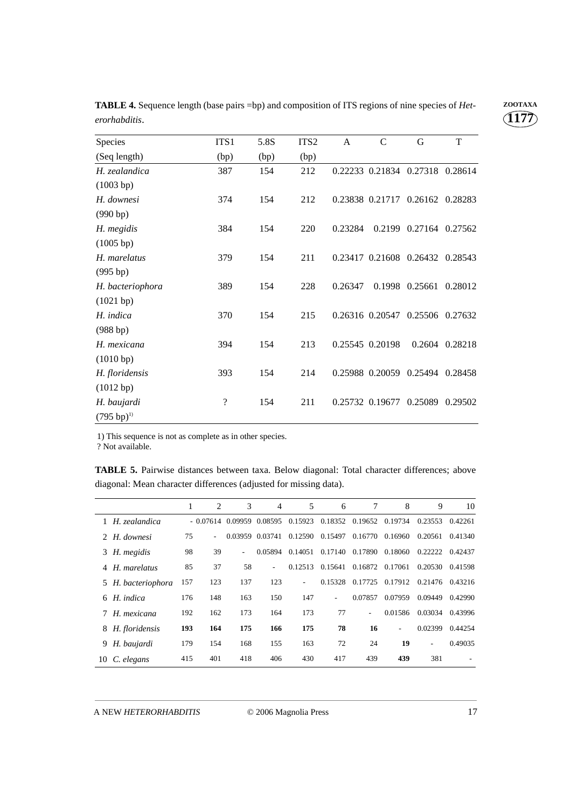| Species                | ITS <sub>1</sub>         | 5.8S | ITS <sub>2</sub> | $\mathbf{A}$ | $\mathcal{C}$           | G                               | T       |
|------------------------|--------------------------|------|------------------|--------------|-------------------------|---------------------------------|---------|
| (Seq length)           | (bp)                     | (bp) | (bp)             |              |                         |                                 |         |
| H. zealandica          | 387                      | 154  | 212              |              | 0.22233 0.21834 0.27318 |                                 | 0.28614 |
| (1003 bp)              |                          |      |                  |              |                         |                                 |         |
| H. downesi             | 374                      | 154  | 212              |              |                         | 0.23838 0.21717 0.26162 0.28283 |         |
| (990 b p)              |                          |      |                  |              |                         |                                 |         |
| H. megidis             | 384                      | 154  | 220              | 0.23284      |                         | 0.2199 0.27164                  | 0.27562 |
| (1005 bp)              |                          |      |                  |              |                         |                                 |         |
| H. marelatus           | 379                      | 154  | 211              |              |                         | 0.23417 0.21608 0.26432         | 0.28543 |
| (995 bp)               |                          |      |                  |              |                         |                                 |         |
| H. bacteriophora       | 389                      | 154  | 228              | 0.26347      |                         | 0.1998 0.25661                  | 0.28012 |
| (1021 bp)              |                          |      |                  |              |                         |                                 |         |
| H. indica              | 370                      | 154  | 215              |              |                         | 0.26316 0.20547 0.25506 0.27632 |         |
| (988 bp)               |                          |      |                  |              |                         |                                 |         |
| H. mexicana            | 394                      | 154  | 213              |              | 0.25545 0.20198         | 0.2604                          | 0.28218 |
| (1010 bp)              |                          |      |                  |              |                         |                                 |         |
| H. floridensis         | 393                      | 154  | 214              |              |                         | 0.25988 0.20059 0.25494         | 0.28458 |
| (1012 bp)              |                          |      |                  |              |                         |                                 |         |
| H. baujardi            | $\overline{\mathcal{L}}$ | 154  | 211              |              | 0.25732 0.19677         | 0.25089                         | 0.29502 |
| $(795 \text{ bp})^{1}$ |                          |      |                  |              |                         |                                 |         |

**TABLE 4.** Sequence length (base pairs =bp) and composition of ITS regions of nine species of *Het-* **ZOOTAXA** *erorhabditis.*

1) This sequence is not as complete as in other species.

? Not available.

**TABLE 5.** Pairwise distances between taxa. Below diagonal: Total character differences; above diagonal: Mean character differences (adjusted for missing data).

|    |                    | 1   | 2                        | 3                  | $\overline{4}$  | 5       | 6       | 7       | 8       | 9       | 10      |
|----|--------------------|-----|--------------------------|--------------------|-----------------|---------|---------|---------|---------|---------|---------|
|    | 1 H. zealandica    |     |                          | $-0.07614$ 0.09959 | 0.08595         | 0.15923 | 0.18352 | 0.19652 | 0.19734 | 0.23553 | 0.42261 |
|    | 2 H. downesi       | 75  | $\overline{\phantom{a}}$ |                    | 0.03959 0.03741 | 0.12590 | 0.15497 | 0.16770 | 0.16960 | 0.20561 | 0.41340 |
|    | 3 H. megidis       | 98  | 39                       | ٠                  | 0.05894         | 0.14051 | 0.17140 | 0.17890 | 0.18060 | 0.22222 | 0.42437 |
| 4  | H. marelatus       | 85  | 37                       | 58                 | $\sim$          | 0.12513 | 0.15641 | 0.16872 | 0.17061 | 0.20530 | 0.41598 |
|    | 5 H. bacteriophora | 157 | 123                      | 137                | 123             | ٠       | 0.15328 | 0.17725 | 0.17912 | 0.21476 | 0.43216 |
| 6  | H. indica          | 176 | 148                      | 163                | 150             | 147     | ۰       | 0.07857 | 0.07959 | 0.09449 | 0.42990 |
|    | 7 H. mexicana      | 192 | 162                      | 173                | 164             | 173     | 77      |         | 0.01586 | 0.03034 | 0.43996 |
|    | 8 H. floridensis   | 193 | 164                      | 175                | 166             | 175     | 78      | 16      | ۰       | 0.02399 | 0.44254 |
| 9. | H. baujardi        | 179 | 154                      | 168                | 155             | 163     | 72      | 24      | 19      | ٠       | 0.49035 |
| 10 | C. elegans         | 415 | 401                      | 418                | 406             | 430     | 417     | 439     | 439     | 381     |         |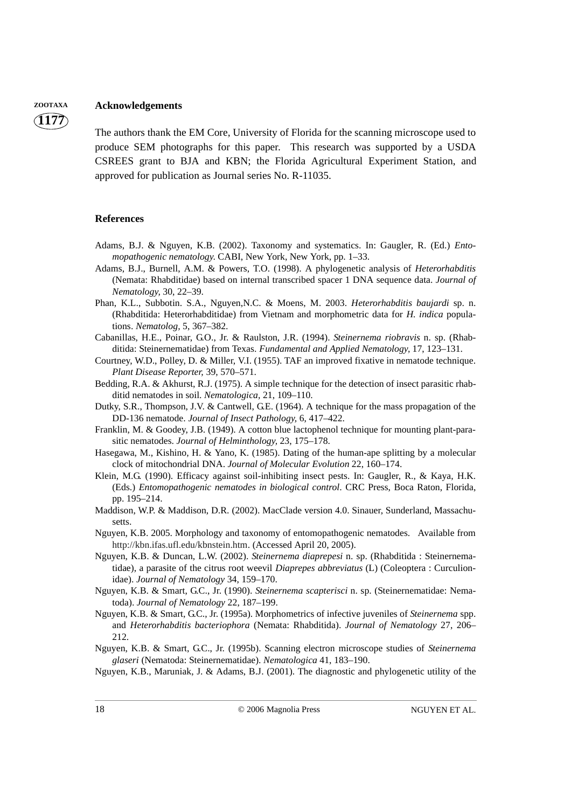#### **ZOOTAXA Acknowledgements**

**1177**

The authors thank the EM Core, University of Florida for the scanning microscope used to produce SEM photographs for this paper. This research was supported by a USDA CSREES grant to BJA and KBN; the Florida Agricultural Experiment Station, and approved for publication as Journal series No. R-11035.

#### **References**

- Adams, B.J. & Nguyen, K.B. (2002). Taxonomy and systematics. In: Gaugler, R. (Ed.) *Entomopathogenic nematology*. CABI, New York, New York, pp. 1–33.
- Adams, B.J., Burnell, A.M. & Powers, T.O. (1998). A phylogenetic analysis of *Heterorhabditis* (Nemata: Rhabditidae) based on internal transcribed spacer 1 DNA sequence data. *Journal of Nematology,* 30, 22–39.
- Phan, K.L., Subbotin. S.A., Nguyen,N.C. & Moens, M. 2003. *Heterorhabditis baujardi* sp. n. (Rhabditida: Heterorhabditidae) from Vietnam and morphometric data for *H. indica* populations. *Nematolog,* 5, 367–382.
- Cabanillas, H.E., Poinar, G.O., Jr. & Raulston, J.R. (1994). *Steinernema riobravis* n. sp. (Rhabditida: Steinernematidae) from Texas. *Fundamental and Applied Nematology,* 17, 123–131.
- Courtney, W.D., Polley, D. & Miller, V.I. (1955). TAF an improved fixative in nematode technique. *Plant Disease Reporter,* 39, 570–571.
- Bedding, R.A. & Akhurst, R.J. (1975). A simple technique for the detection of insect parasitic rhabditid nematodes in soil. *Nematologica,* 21, 109–110.
- Dutky, S.R., Thompson, J.V. & Cantwell, G.E. (1964). A technique for the mass propagation of the DD-136 nematode. *Journal of Insect Pathology,* 6, 417–422.
- Franklin, M. & Goodey, J.B. (1949). A cotton blue lactophenol technique for mounting plant-parasitic nematodes. *Journal of Helminthology,* 23, 175–178.
- Hasegawa, M., Kishino, H. & Yano, K. (1985). Dating of the human-ape splitting by a molecular clock of mitochondrial DNA. *Journal of Molecular Evolution* 22, 160–174.
- Klein, M.G. (1990). Efficacy against soil-inhibiting insect pests. In: Gaugler, R., & Kaya, H.K. (Eds.) *Entomopathogenic nematodes in biological control*. CRC Press, Boca Raton, Florida, pp. 195–214.
- Maddison, W.P. & Maddison, D.R. (2002). MacClade version 4.0. Sinauer, Sunderland, Massachusetts.
- Nguyen, K.B. 2005. Morphology and taxonomy of entomopathogenic nematodes. Available from http://kbn.ifas.ufl.edu/kbnstein.htm. (Accessed April 20, 2005).
- Nguyen, K.B. & Duncan, L.W. (2002). *Steinernema diaprepesi* n. sp. (Rhabditida : Steinernematidae), a parasite of the citrus root weevil *Diaprepes abbreviatus* (L) (Coleoptera : Curculionidae). *Journal of Nematology* 34, 159–170.
- Nguyen, K.B. & Smart, G.C., Jr. (1990). *Steinernema scapterisci* n. sp. (Steinernematidae: Nematoda). *Journal of Nematology* 22, 187–199.
- Nguyen, K.B. & Smart, G.C., Jr. (1995a). Morphometrics of infective juveniles of *Steinernema* spp. and *Heterorhabditis bacteriophora* (Nemata: Rhabditida). *Journal of Nematology* 27, 206– 212.
- Nguyen, K.B. & Smart, G.C., Jr. (1995b). Scanning electron microscope studies of *Steinernema glaseri* (Nematoda: Steinernematidae). *Nematologica* 41, 183–190.
- Nguyen, K.B., Maruniak, J. & Adams, B.J. (2001). The diagnostic and phylogenetic utility of the